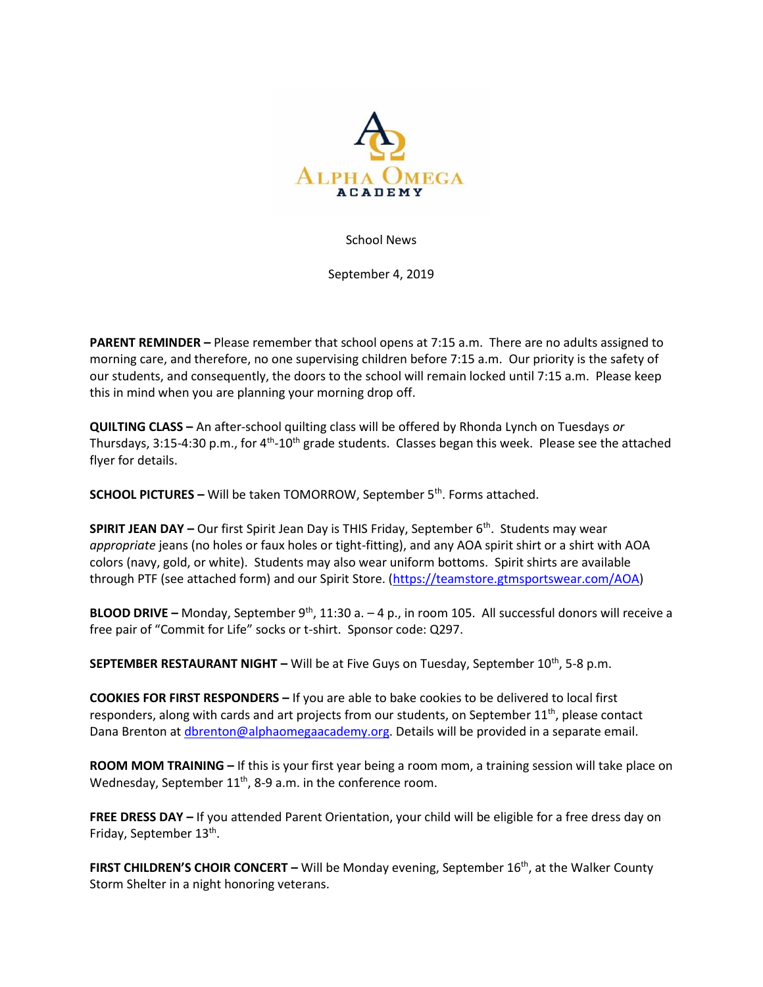

School News

September 4, 2019

**PARENT REMINDER –** Please remember that school opens at 7:15 a.m. There are no adults assigned to morning care, and therefore, no one supervising children before 7:15 a.m. Our priority is the safety of our students, and consequently, the doors to the school will remain locked until 7:15 a.m. Please keep this in mind when you are planning your morning drop off.

**QUILTING CLASS –** An after-school quilting class will be offered by Rhonda Lynch on Tuesdays *or* Thursdays, 3:15-4:30 p.m., for 4<sup>th</sup>-10<sup>th</sup> grade students. Classes began this week. Please see the attached flyer for details.

**SCHOOL PICTURES –** Will be taken TOMORROW, September 5<sup>th</sup>. Forms attached.

**SPIRIT JEAN DAY –** Our first Spirit Jean Day is THIS Friday, September 6<sup>th</sup>. Students may wear *appropriate* jeans (no holes or faux holes or tight-fitting), and any AOA spirit shirt or a shirt with AOA colors (navy, gold, or white). Students may also wear uniform bottoms. Spirit shirts are available through PTF (see attached form) and our Spirit Store. [\(https://teamstore.gtmsportswear.com/AOA\)](https://teamstore.gtmsportswear.com/AOA)

**BLOOD DRIVE -** Monday, September 9<sup>th</sup>, 11:30 a. - 4 p., in room 105. All successful donors will receive a free pair of "Commit for Life" socks or t-shirt. Sponsor code: Q297.

**SEPTEMBER RESTAURANT NIGHT –** Will be at Five Guys on Tuesday, September 10<sup>th</sup>, 5-8 p.m.

**COOKIES FOR FIRST RESPONDERS –** If you are able to bake cookies to be delivered to local first responders, along with cards and art projects from our students, on September 11<sup>th</sup>, please contact Dana Brenton at *dbrenton@alphaomegaacademy.org*. Details will be provided in a separate email.

**ROOM MOM TRAINING –** If this is your first year being a room mom, a training session will take place on Wednesday, September 11<sup>th</sup>, 8-9 a.m. in the conference room.

**FREE DRESS DAY –** If you attended Parent Orientation, your child will be eligible for a free dress day on Friday, September 13<sup>th</sup>.

**FIRST CHILDREN'S CHOIR CONCERT –** Will be Monday evening, September 16<sup>th</sup>, at the Walker County Storm Shelter in a night honoring veterans.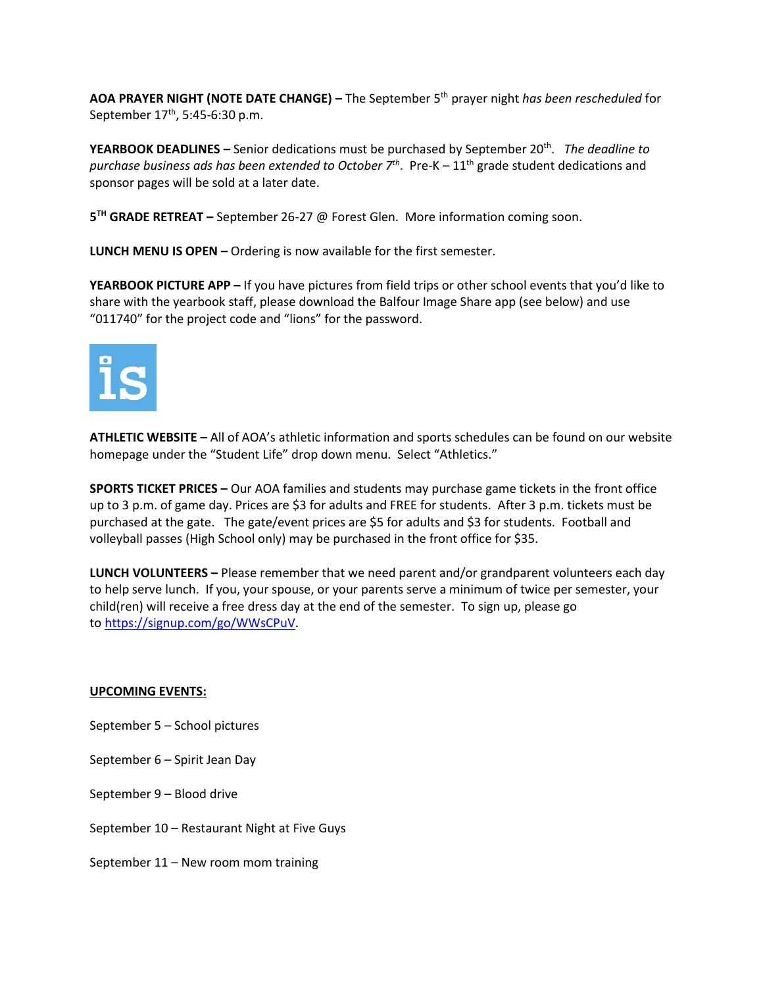**AOA PRAYER NIGHT (NOTE DATE CHANGE) –** The September 5th prayer night *has been rescheduled* for September 17<sup>th</sup>, 5:45-6:30 p.m.

**YEARBOOK DEADLINES** – Senior dedications must be purchased by September 20<sup>th</sup>. The deadline to purchase business ads has been extended to October 7<sup>th</sup>. Pre-K – 11<sup>th</sup> grade student dedications and sponsor pages will be sold at a later date.

**5 TH GRADE RETREAT –** September 26-27 @ Forest Glen. More information coming soon.

**LUNCH MENU IS OPEN –** Ordering is now available for the first semester.

**YEARBOOK PICTURE APP –** If you have pictures from field trips or other school events that you'd like to share with the yearbook staff, please download the Balfour Image Share app (see below) and use "011740" for the project code and "lions" for the password.



**ATHLETIC WEBSITE –** All of AOA's athletic information and sports schedules can be found on our website homepage under the "Student Life" drop down menu. Select "Athletics."

**SPORTS TICKET PRICES –** Our AOA families and students may purchase game tickets in the front office up to 3 p.m. of game day. Prices are \$3 for adults and FREE for students. After 3 p.m. tickets must be purchased at the gate. The gate/event prices are \$5 for adults and \$3 for students. Football and volleyball passes (High School only) may be purchased in the front office for \$35.

**LUNCH VOLUNTEERS –** Please remember that we need parent and/or grandparent volunteers each day to help serve lunch. If you, your spouse, or your parents serve a minimum of twice per semester, your child(ren) will receive a free dress day at the end of the semester. To sign up, please go to [https://signup.com/go/WWsCPuV.](https://signup.com/go/WWsCPuV)

## **UPCOMING EVENTS:**

- September 5 School pictures
- September 6 Spirit Jean Day
- September 9 Blood drive
- September 10 Restaurant Night at Five Guys
- September 11 New room mom training